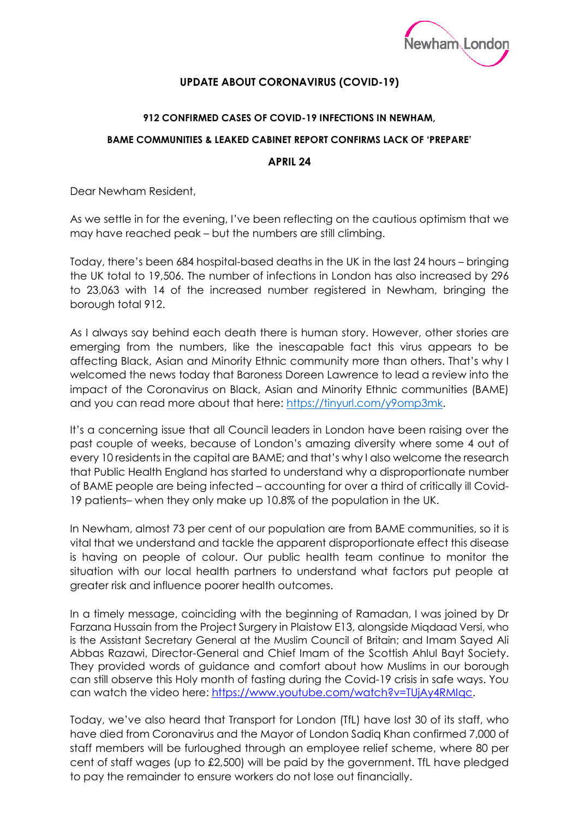

## **UPDATE ABOUT CORONAVIRUS (COVID-19)**

## **912 CONFIRMED CASES OF COVID-19 INFECTIONS IN NEWHAM,**

## **BAME COMMUNITIES & LEAKED CABINET REPORT CONFIRMS LACK OF 'PREPARE'**

## **APRIL 24**

Dear Newham Resident,

As we settle in for the evening, I've been reflecting on the cautious optimism that we may have reached peak – but the numbers are still climbing.

Today, there's been 684 hospital-based deaths in the UK in the last 24 hours – bringing the UK total to 19,506. The number of infections in London has also increased by 296 to 23,063 with 14 of the increased number registered in Newham, bringing the borough total 912.

As I always say behind each death there is human story. However, other stories are emerging from the numbers, like the inescapable fact this virus appears to be affecting Black, Asian and Minority Ethnic community more than others. That's why I welcomed the news today that Baroness Doreen Lawrence to lead a review into the impact of the Coronavirus on Black, Asian and Minority Ethnic communities (BAME) and you can read more about that here: [https://tinyurl.com/y9omp3mk.](https://tinyurl.com/y9omp3mk)

It's a concerning issue that all Council leaders in London have been raising over the past couple of weeks, because of London's amazing diversity where some 4 out of every 10 residents in the capital are BAME; and that's why I also welcome the research that Public Health England has started to understand why a disproportionate number of BAME people are being infected – accounting for over a third of critically ill Covid-19 patients– when they only make up 10.8% of the population in the UK.

In Newham, almost 73 per cent of our population are from BAME communities, so it is vital that we understand and tackle the apparent disproportionate effect this disease is having on people of colour. Our public health team continue to monitor the situation with our local health partners to understand what factors put people at greater risk and influence poorer health outcomes.

In a timely message, coinciding with the beginning of Ramadan, I was joined by Dr Farzana Hussain from the Project Surgery in Plaistow E13, alongside Miqdaad Versi, who is the Assistant Secretary General at the Muslim Council of Britain; and Imam Sayed Ali Abbas Razawi, Director-General and Chief Imam of the Scottish Ahlul Bayt Society. They provided words of guidance and comfort about how Muslims in our borough can still observe this Holy month of fasting during the Covid-19 crisis in safe ways. You can watch the video here: [https://www.youtube.com/watch?v=TUjAy4RMIqc.](https://www.youtube.com/watch?v=TUjAy4RMIqc)

Today, we've also heard that Transport for London (TfL) have lost 30 of its staff, who have died from Coronavirus and the Mayor of London Sadiq Khan confirmed 7,000 of staff members will be furloughed through an employee relief scheme, where 80 per cent of staff wages (up to £2,500) will be paid by the government. TfL have pledged to pay the remainder to ensure workers do not lose out financially.